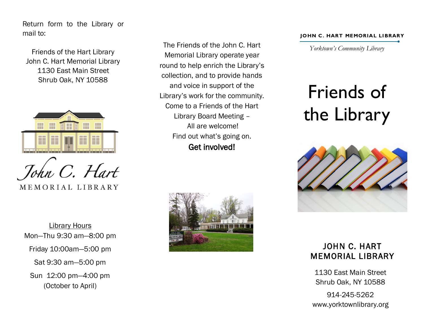Return form to the Library or mail to:

Friends of the Hart Library John C. Hart Memorial Library 1130 East Main Street Shrub Oak, NY 10588



MEMORIAL LIBRARY

Library Hours Mon—Thu 9:30 am—8:00 pm Friday 10:00am—5:00 pm Sat 9:30 am—5:00 pm Sun 12:00 pm—4:00 pm (October to April)

The Friends of the John C. Hart Memorial Library operate year round to help enrich the Library's collection, and to provide hands and voice in support of the Library's work for the community. Come to a Friends of the Hart Library Board Meeting – All are welcome! Find out what's going on. Get involved!



## **JOHN C. HART MEMORIAL LIBRARY**

*Yorktown's Community Library*

## Friends of the Library



## JOHN C. HART MEMORIAL LIBRARY

1130 East Main Street Shrub Oak, NY 10588

914-245-5262 www.yorktownlibrary.org